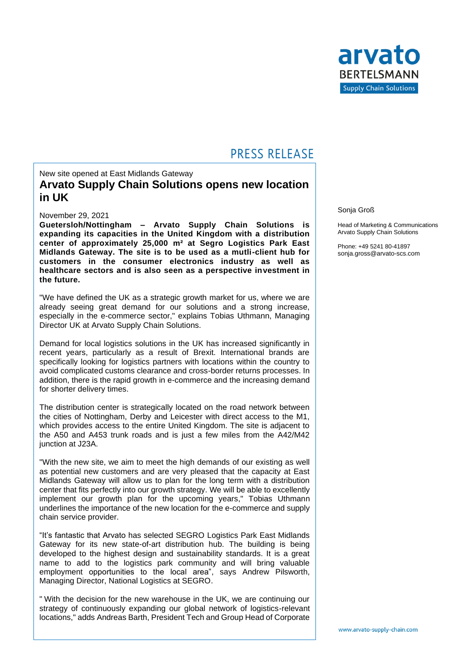

# **PRESS RELEASE**

# New site opened at East Midlands Gateway **Arvato Supply Chain Solutions opens new location in UK**

### November 29, 2021

**Guetersloh/Nottingham – Arvato Supply Chain Solutions is expanding its capacities in the United Kingdom with a distribution center of approximately 25,000 m² at Segro Logistics Park East Midlands Gateway. The site is to be used as a mutli-client hub for customers in the consumer electronics industry as well as healthcare sectors and is also seen as a perspective investment in the future.**

"We have defined the UK as a strategic growth market for us, where we are already seeing great demand for our solutions and a strong increase, especially in the e-commerce sector," explains Tobias Uthmann, Managing Director UK at Arvato Supply Chain Solutions.

Demand for local logistics solutions in the UK has increased significantly in recent years, particularly as a result of Brexit. International brands are specifically looking for logistics partners with locations within the country to avoid complicated customs clearance and cross-border returns processes. In addition, there is the rapid growth in e-commerce and the increasing demand for shorter delivery times.

The distribution center is strategically located on the road network between the cities of Nottingham, Derby and Leicester with direct access to the M1, which provides access to the entire United Kingdom. The site is adjacent to the A50 and A453 trunk roads and is just a few miles from the A42/M42 junction at J23A.

"With the new site, we aim to meet the high demands of our existing as well as potential new customers and are very pleased that the capacity at East Midlands Gateway will allow us to plan for the long term with a distribution center that fits perfectly into our growth strategy. We will be able to excellently implement our growth plan for the upcoming years," Tobias Uthmann underlines the importance of the new location for the e-commerce and supply chain service provider.

"It's fantastic that Arvato has selected SEGRO Logistics Park East Midlands Gateway for its new state-of-art distribution hub. The building is being developed to the highest design and sustainability standards. It is a great name to add to the logistics park community and will bring valuable employment opportunities to the local area", says Andrew Pilsworth, Managing Director, National Logistics at SEGRO.

" With the decision for the new warehouse in the UK, we are continuing our strategy of continuously expanding our global network of logistics-relevant locations," adds Andreas Barth, President Tech and Group Head of Corporate

#### Sonja Groß

Head of Marketing & Communications Arvato Supply Chain Solutions

Phone: +49 5241 80-41897 sonja.gross@arvato-scs.com